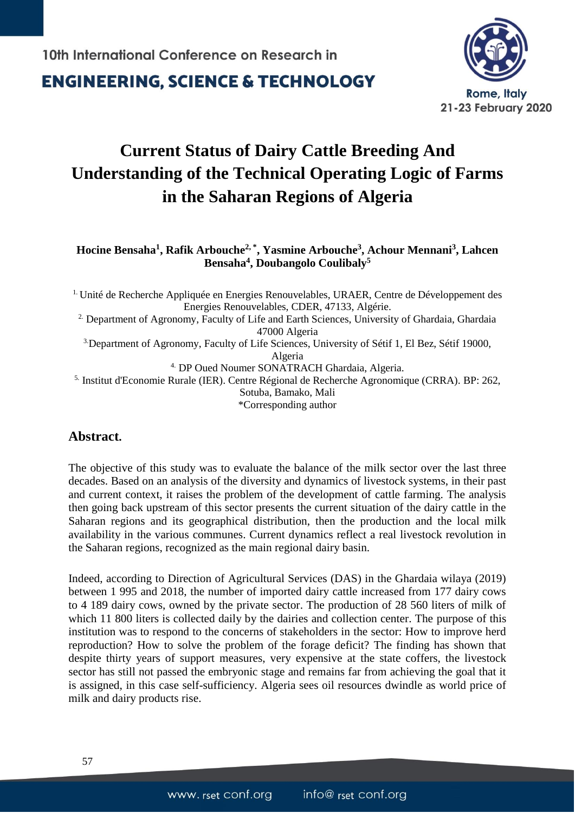**ENGINEERING, SCIENCE & TECHNOLOGY** 



# **Current Status of Dairy Cattle Breeding And Understanding of the Technical Operating Logic of Farms in the Saharan Regions of Algeria**

**Hocine Bensaha<sup>1</sup> , Rafik Arbouche2, \* , Yasmine Arbouche<sup>3</sup> , Achour Mennani<sup>3</sup> , Lahcen Bensaha<sup>4</sup> , Doubangolo Coulibaly<sup>5</sup>**

<sup>1.</sup> Unité de Recherche Appliquée en Energies Renouvelables, URAER, Centre de Développement des Energies Renouvelables, CDER, 47133, Algérie. <sup>2.</sup> Department of Agronomy, Faculty of Life and Earth Sciences, University of Ghardaia, Ghardaia 47000 Algeria 3.Department of Agronomy, Faculty of Life Sciences, University of Sétif 1, El Bez, Sétif 19000, Algeria 4. DP Oued Noumer SONATRACH Ghardaia, Algeria. 5. Institut d'Economie Rurale (IER). Centre Régional de Recherche Agronomique (CRRA). BP: 262, Sotuba, Bamako, Mali \*Corresponding author

### **Abstract.**

The objective of this study was to evaluate the balance of the milk sector over the last three decades. Based on an analysis of the diversity and dynamics of livestock systems, in their past and current context, it raises the problem of the development of cattle farming. The analysis then going back upstream of this sector presents the current situation of the dairy cattle in the Saharan regions and its geographical distribution, then the production and the local milk availability in the various communes. Current dynamics reflect a real livestock revolution in the Saharan regions, recognized as the main regional dairy basin.

Indeed, according to Direction of Agricultural Services (DAS) in the Ghardaia wilaya (2019) between 1 995 and 2018, the number of imported dairy cattle increased from 177 dairy cows to 4 189 dairy cows, owned by the private sector. The production of 28 560 liters of milk of which 11 800 liters is collected daily by the dairies and collection center. The purpose of this institution was to respond to the concerns of stakeholders in the sector: How to improve herd reproduction? How to solve the problem of the forage deficit? The finding has shown that despite thirty years of support measures, very expensive at the state coffers, the livestock sector has still not passed the embryonic stage and remains far from achieving the goal that it is assigned, in this case self-sufficiency. Algeria sees oil resources dwindle as world price of milk and dairy products rise.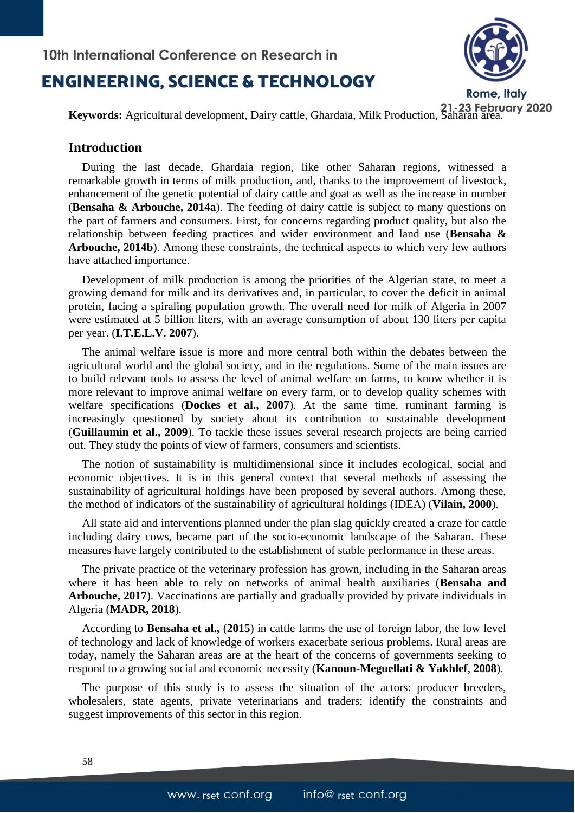# **ENGINEERING, SCIENCE & TECHNOLOGY**



**Keywords:** Agricultural development, Dairy cattle, Ghardaïa, Milk Production, Saharan area.

#### **Introduction**

During the last decade, Ghardaia region, like other Saharan regions, witnessed a remarkable growth in terms of milk production, and, thanks to the improvement of livestock, enhancement of the genetic potential of dairy cattle and goat as well as the increase in number (**Bensaha & Arbouche, 2014a**). The feeding of dairy cattle is subject to many questions on the part of farmers and consumers. First, for concerns regarding product quality, but also the relationship between feeding practices and wider environment and land use (**Bensaha & Arbouche, 2014b**). Among these constraints, the technical aspects to which very few authors have attached importance.

Development of milk production is among the priorities of the Algerian state, to meet a growing demand for milk and its derivatives and, in particular, to cover the deficit in animal protein, facing a spiraling population growth. The overall need for milk of Algeria in 2007 were estimated at 5 billion liters, with an average consumption of about 130 liters per capita per year. (**I.T.E.L.V. 2007**).

The animal welfare issue is more and more central both within the debates between the agricultural world and the global society, and in the regulations. Some of the main issues are to build relevant tools to assess the level of animal welfare on farms, to know whether it is more relevant to improve animal welfare on every farm, or to develop quality schemes with welfare specifications (**Dockes et al., 2007**). At the same time, ruminant farming is increasingly questioned by society about its contribution to sustainable development (**Guillaumin et al., 2009**). To tackle these issues several research projects are being carried out. They study the points of view of farmers, consumers and scientists.

The notion of sustainability is multidimensional since it includes ecological, social and economic objectives. It is in this general context that several methods of assessing the sustainability of agricultural holdings have been proposed by several authors. Among these, the method of indicators of the sustainability of agricultural holdings (IDEA) (**Vilain, 2000**).

All state aid and interventions planned under the plan slag quickly created a craze for cattle including dairy cows, became part of the socio-economic landscape of the Saharan. These measures have largely contributed to the establishment of stable performance in these areas.

The private practice of the veterinary profession has grown, including in the Saharan areas where it has been able to rely on networks of animal health auxiliaries (**Bensaha and Arbouche, 2017**). Vaccinations are partially and gradually provided by private individuals in Algeria (**MADR, 2018**).

According to **Bensaha et al.,** (**2015**) in cattle farms the use of foreign labor, the low level of technology and lack of knowledge of workers exacerbate serious problems. Rural areas are today, namely the Saharan areas are at the heart of the concerns of governments seeking to respond to a growing social and economic necessity (**Kanoun-Meguellati & Yakhlef**, **2008**).

The purpose of this study is to assess the situation of the actors: producer breeders, wholesalers, state agents, private veterinarians and traders; identify the constraints and suggest improvements of this sector in this region.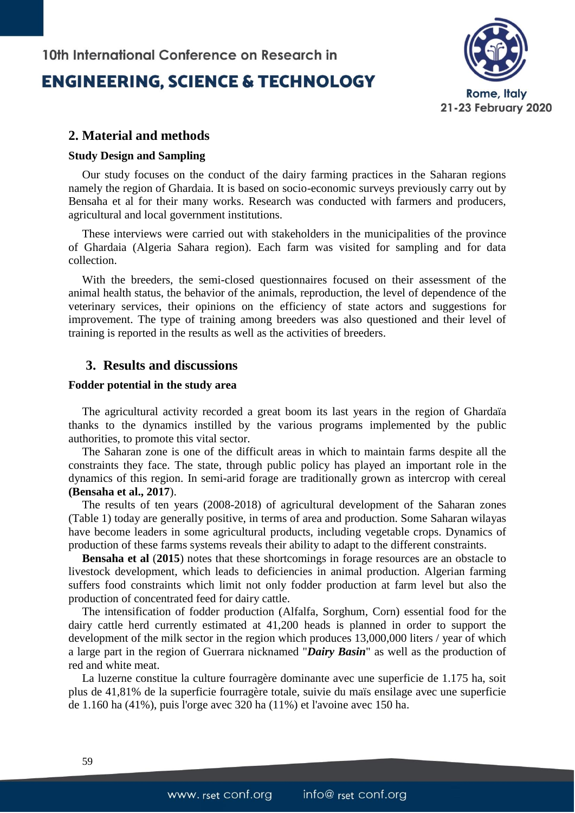### **ENGINEERING, SCIENCE & TECHNOLOGY**



#### **2. Material and methods**

#### **Study Design and Sampling**

Our study focuses on the conduct of the dairy farming practices in the Saharan regions namely the region of Ghardaia. It is based on socio-economic surveys previously carry out by Bensaha et al for their many works. Research was conducted with farmers and producers, agricultural and local government institutions.

These interviews were carried out with stakeholders in the municipalities of the province of Ghardaia (Algeria Sahara region). Each farm was visited for sampling and for data collection.

With the breeders, the semi-closed questionnaires focused on their assessment of the animal health status, the behavior of the animals, reproduction, the level of dependence of the veterinary services, their opinions on the efficiency of state actors and suggestions for improvement. The type of training among breeders was also questioned and their level of training is reported in the results as well as the activities of breeders.

#### **3. Results and discussions**

#### **Fodder potential in the study area**

The agricultural activity recorded a great boom its last years in the region of Ghardaïa thanks to the dynamics instilled by the various programs implemented by the public authorities, to promote this vital sector.

The Saharan zone is one of the difficult areas in which to maintain farms despite all the constraints they face. The state, through public policy has played an important role in the dynamics of this region. In semi-arid forage are traditionally grown as intercrop with cereal **(Bensaha et al., 2017**).

The results of ten years (2008-2018) of agricultural development of the Saharan zones (Table 1) today are generally positive, in terms of area and production. Some Saharan wilayas have become leaders in some agricultural products, including vegetable crops. Dynamics of production of these farms systems reveals their ability to adapt to the different constraints.

**Bensaha et al** (**2015**) notes that these shortcomings in forage resources are an obstacle to livestock development, which leads to deficiencies in animal production. Algerian farming suffers food constraints which limit not only fodder production at farm level but also the production of concentrated feed for dairy cattle.

The intensification of fodder production (Alfalfa, Sorghum, Corn) essential food for the dairy cattle herd currently estimated at 41,200 heads is planned in order to support the development of the milk sector in the region which produces 13,000,000 liters / year of which a large part in the region of Guerrara nicknamed "*Dairy Basin*" as well as the production of red and white meat.

La luzerne constitue la culture fourragère dominante avec une superficie de 1.175 ha, soit plus de 41,81% de la superficie fourragère totale, suivie du maïs ensilage avec une superficie de 1.160 ha (41%), puis l'orge avec 320 ha (11%) et l'avoine avec 150 ha.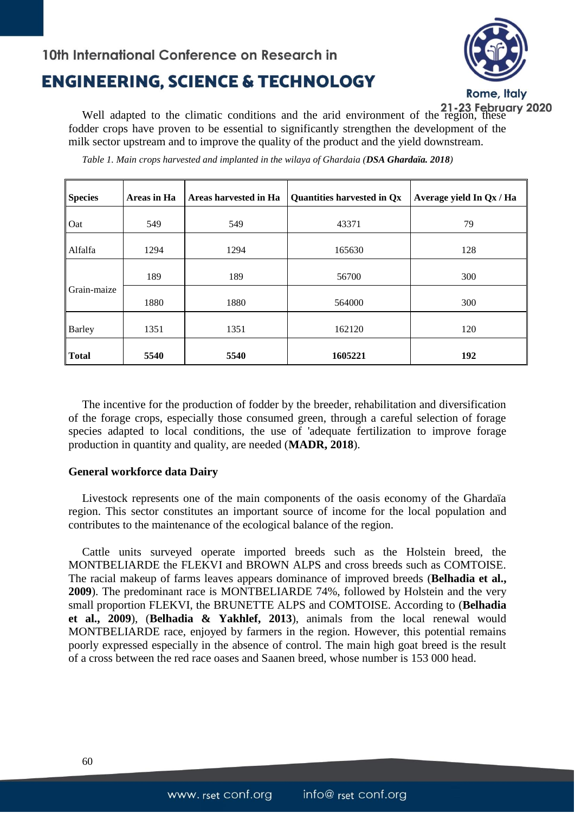# **ENGINEERING, SCIENCE & TECHNOLOGY**



Well adapted to the climatic conditions and the arid environment of the region, these<br>dder crops have proven to be conspired to similar the set of fodder crops have proven to be essential to significantly strengthen the development of the milk sector upstream and to improve the quality of the product and the yield downstream.

| <b>Species</b> | Areas in Ha | Areas harvested in Ha | Quantities harvested in Qx | Average yield In Qx / Ha |
|----------------|-------------|-----------------------|----------------------------|--------------------------|
| Oat            | 549         | 549                   | 43371                      | 79                       |
| Alfalfa        | 1294        | 1294                  | 165630                     | 128                      |
|                | 189         | 189                   | 56700                      | 300                      |
| Grain-maize    | 1880        | 1880                  | 564000                     | 300                      |
| <b>Barley</b>  | 1351        | 1351                  | 162120                     | 120                      |
| <b>Total</b>   | 5540        | 5540                  | 1605221                    | 192                      |

*Table 1. Main crops harvested and implanted in the wilaya of Ghardaia (DSA Ghardaïa. 2018)*

The incentive for the production of fodder by the breeder, rehabilitation and diversification of the forage crops, especially those consumed green, through a careful selection of forage species adapted to local conditions, the use of 'adequate fertilization to improve forage production in quantity and quality, are needed (**MADR, 2018**).

#### **General workforce data Dairy**

Livestock represents one of the main components of the oasis economy of the Ghardaïa region. This sector constitutes an important source of income for the local population and contributes to the maintenance of the ecological balance of the region.

Cattle units surveyed operate imported breeds such as the Holstein breed, the MONTBELIARDE the FLEKVI and BROWN ALPS and cross breeds such as COMTOISE. The racial makeup of farms leaves appears dominance of improved breeds (**Belhadia et al., 2009**). The predominant race is MONTBELIARDE 74%, followed by Holstein and the very small proportion FLEKVI, the BRUNETTE ALPS and COMTOISE. According to (**Belhadia et al., 2009**), (**Belhadia & Yakhlef, 2013**), animals from the local renewal would MONTBELIARDE race, enjoyed by farmers in the region. However, this potential remains poorly expressed especially in the absence of control. The main high goat breed is the result of a cross between the red race oases and Saanen breed, whose number is 153 000 head.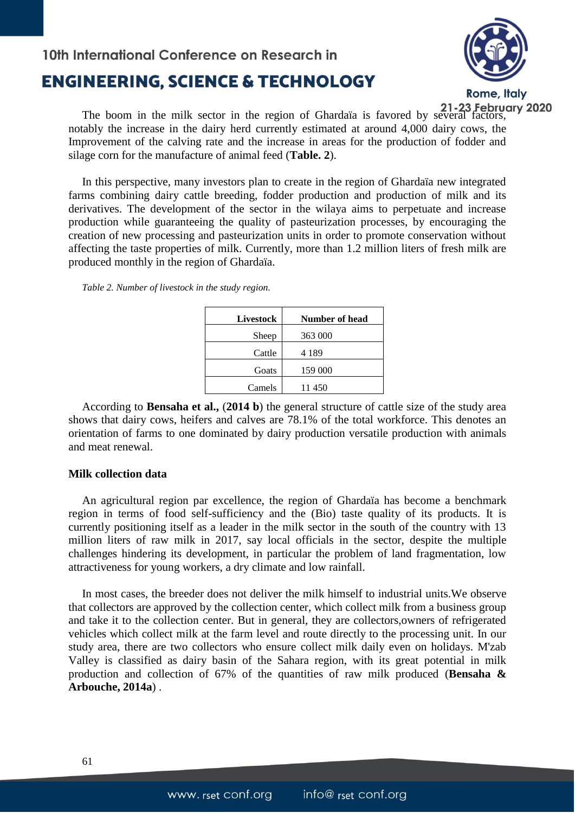# 10th International Conference on Research in **ENGINEERING, SCIENCE & TECHNOLOGY**



The boom in the milk sector in the region of Ghardaïa is favored by several factors, notably the increase in the dairy herd currently estimated at around 4,000 dairy cows, the Improvement of the calving rate and the increase in areas for the production of fodder and silage corn for the manufacture of animal feed (**Table. 2**).

In this perspective, many investors plan to create in the region of Ghardaïa new integrated farms combining dairy cattle breeding, fodder production and production of milk and its derivatives. The development of the sector in the wilaya aims to perpetuate and increase production while guaranteeing the quality of pasteurization processes, by encouraging the creation of new processing and pasteurization units in order to promote conservation without affecting the taste properties of milk. Currently, more than 1.2 million liters of fresh milk are produced monthly in the region of Ghardaïa.

*Table 2. Number of livestock in the study region.* 

| Livestock | Number of head |  |
|-----------|----------------|--|
| Sheep     | 363 000        |  |
| Cattle    | 4 1 8 9        |  |
| Goats     | 159 000        |  |
| Camels    | 11 450         |  |
|           |                |  |

According to **Bensaha et al.,** (**2014 b**) the general structure of cattle size of the study area shows that dairy cows, heifers and calves are 78.1% of the total workforce. This denotes an orientation of farms to one dominated by dairy production versatile production with animals and meat renewal.

#### **Milk collection data**

An agricultural region par excellence, the region of Ghardaïa has become a benchmark region in terms of food self-sufficiency and the (Bio) taste quality of its products. It is currently positioning itself as a leader in the milk sector in the south of the country with 13 million liters of raw milk in 2017, say local officials in the sector, despite the multiple challenges hindering its development, in particular the problem of land fragmentation, low attractiveness for young workers, a dry climate and low rainfall.

In most cases, the breeder does not deliver the milk himself to industrial units.We observe that collectors are approved by the collection center, which collect milk from a business group and take it to the collection center. But in general, they are collectors,owners of refrigerated vehicles which collect milk at the farm level and route directly to the processing unit. In our study area, there are two collectors who ensure collect milk daily even on holidays. M'zab Valley is classified as dairy basin of the Sahara region, with its great potential in milk production and collection of 67% of the quantities of raw milk produced (**Bensaha & Arbouche, 2014a**) .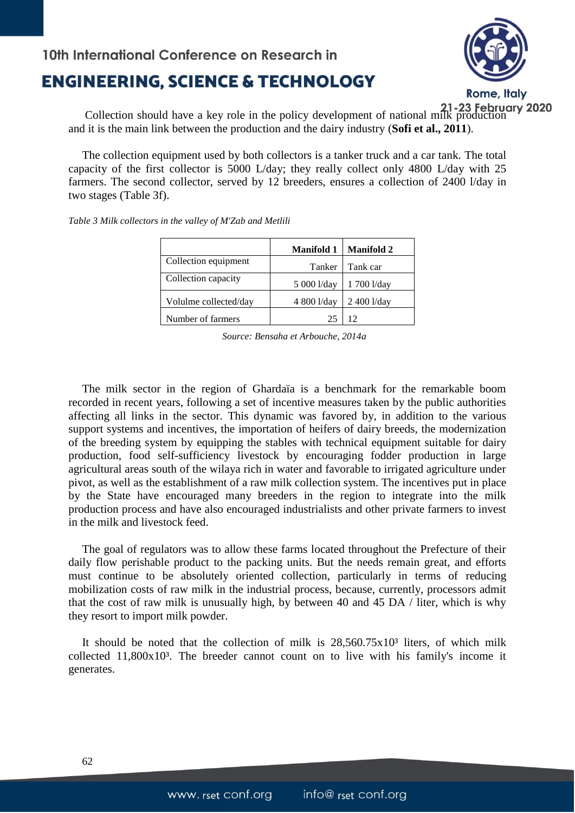## **ENGINEERING, SCIENCE & TECHNOLOGY**



**Collection should have a key role in the policy development of national milk production**<br>Lit is the main link hat we all the policy development of national milk production and it is the main link between the production and the dairy industry (**Sofi et al., 2011**).

The collection equipment used by both collectors is a tanker truck and a car tank. The total capacity of the first collector is 5000 L/day; they really collect only 4800 L/day with 25 farmers. The second collector, served by 12 breeders, ensures a collection of 2400 l/day in two stages (Table 3f).

|                       | <b>Manifold 1</b> | <b>Manifold 2</b> |
|-----------------------|-------------------|-------------------|
| Collection equipment  | Tanker            | Tank car          |
| Collection capacity   | 5 000 l/day       | 1 700 l/day       |
| Volulme collected/day | 4 800 l/day       | 2 400 l/day       |
| Number of farmers     | 25                | 12                |

*Table 3 Milk collectors in the valley of M'Zab and Metlili*

*Source: Bensaha et Arbouche, 2014a*

The milk sector in the region of Ghardaïa is a benchmark for the remarkable boom recorded in recent years, following a set of incentive measures taken by the public authorities affecting all links in the sector. This dynamic was favored by, in addition to the various support systems and incentives, the importation of heifers of dairy breeds, the modernization of the breeding system by equipping the stables with technical equipment suitable for dairy production, food self-sufficiency livestock by encouraging fodder production in large agricultural areas south of the wilaya rich in water and favorable to irrigated agriculture under pivot, as well as the establishment of a raw milk collection system. The incentives put in place by the State have encouraged many breeders in the region to integrate into the milk production process and have also encouraged industrialists and other private farmers to invest in the milk and livestock feed.

The goal of regulators was to allow these farms located throughout the Prefecture of their daily flow perishable product to the packing units. But the needs remain great, and efforts must continue to be absolutely oriented collection, particularly in terms of reducing mobilization costs of raw milk in the industrial process, because, currently, processors admit that the cost of raw milk is unusually high, by between 40 and 45 DA / liter, which is why they resort to import milk powder.

It should be noted that the collection of milk is  $28,560.75 \times 10<sup>3</sup>$  liters, of which milk collected  $11.800x10<sup>3</sup>$ . The breeder cannot count on to live with his family's income it generates.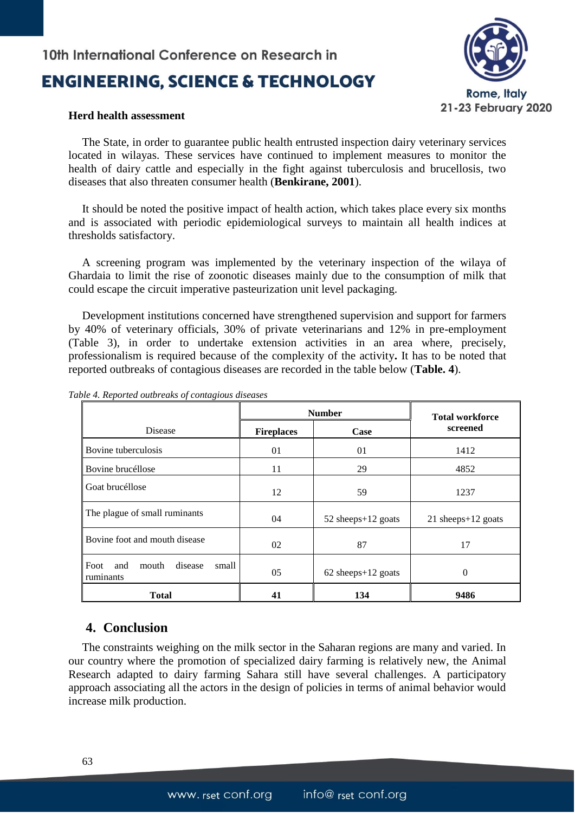# **ENGINEERING, SCIENCE & TECHNOLOGY**



#### **Herd health assessment**

The State, in order to guarantee public health entrusted inspection dairy veterinary services located in wilayas. These services have continued to implement measures to monitor the health of dairy cattle and especially in the fight against tuberculosis and brucellosis, two diseases that also threaten consumer health (**Benkirane, 2001**).

It should be noted the positive impact of health action, which takes place every six months and is associated with periodic epidemiological surveys to maintain all health indices at thresholds satisfactory.

A screening program was implemented by the veterinary inspection of the wilaya of Ghardaia to limit the rise of zoonotic diseases mainly due to the consumption of milk that could escape the circuit imperative pasteurization unit level packaging.

Development institutions concerned have strengthened supervision and support for farmers by 40% of veterinary officials, 30% of private veterinarians and 12% in pre-employment (Table 3), in order to undertake extension activities in an area where, precisely, professionalism is required because of the complexity of the activity**.** It has to be noted that reported outbreaks of contagious diseases are recorded in the table below (**Table. 4**).

|                                                       | <b>Number</b>     |                      | <b>Total workforce</b> |
|-------------------------------------------------------|-------------------|----------------------|------------------------|
| Disease                                               | <b>Fireplaces</b> | Case                 | screened               |
| Bovine tuberculosis                                   | 01                | 01                   | 1412                   |
| Bovine brucéllose                                     | 11                | 29                   | 4852                   |
| Goat brucéllose                                       | 12                | 59                   | 1237                   |
| The plague of small ruminants                         | 04                | 52 sheeps+12 goats   | 21 sheeps $+12$ goats  |
| Bovine foot and mouth disease                         | 02                | 87                   | 17                     |
| and<br>disease<br>small<br>Foot<br>mouth<br>ruminants | 05                | $62$ sheeps+12 goats | $\theta$               |
| Total                                                 | 41                | 134                  | 9486                   |

*Table 4. Reported outbreaks of contagious diseases*

#### **4. Conclusion**

The constraints weighing on the milk sector in the Saharan regions are many and varied. In our country where the promotion of specialized dairy farming is relatively new, the Animal Research adapted to dairy farming Sahara still have several challenges. A participatory approach associating all the actors in the design of policies in terms of animal behavior would increase milk production.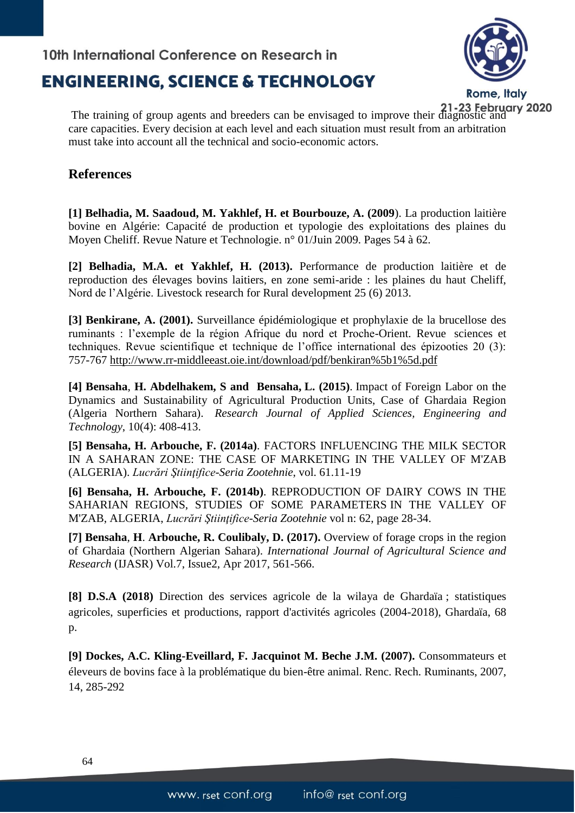## **ENGINEERING, SCIENCE & TECHNOLOGY**



The training of group agents and breeders can be envisaged to improve their diagnostic and care capacities. Every decision at each level and each situation must result from an arbitration must take into account all the technical and socio-economic actors.

### **References**

**[1] Belhadia, M. Saadoud, M. Yakhlef, H. et Bourbouze, A. (2009**). La production laitière bovine en Algérie: Capacité de production et typologie des exploitations des plaines du Moyen Cheliff. Revue Nature et Technologie. n° 01/Juin 2009. Pages 54 à 62.

**[2] Belhadia, M.A. et Yakhlef, H. (2013).** Performance de production laitière et de reproduction des élevages bovins laitiers, en zone semi-aride : les plaines du haut Cheliff, Nord de l'Algérie. Livestock research for Rural development 25 (6) 2013.

**[3] Benkirane, A. (2001).** Surveillance épidémiologique et prophylaxie de la brucellose des ruminants : l'exemple de la région Afrique du nord et Proche-Orient. Revue sciences et techniques. Revue scientifique et technique de l'office international des épizooties 20 (3): 757-767 [http://www.rr-middleeast.oie.int/download/pdf/benkiran%5b1%5d.pdf](http://www.rr-middleeast.oie.int/download/pdf/BENKIRAN%5b1%5d.pdf)

**[4] Bensaha**, **H. Abdelhakem, S and Bensaha, L. (2015)**. Impact of Foreign Labor on the Dynamics and Sustainability of Agricultural Production Units, Case of Ghardaia Region (Algeria Northern Sahara). *Research Journal of Applied Sciences, Engineering and Technology*, 10(4): 408-413.

**[5] Bensaha, H. Arbouche, F. (2014a)**. FACTORS INFLUENCING THE MILK SECTOR IN A SAHARAN ZONE: THE CASE OF MARKETING IN THE VALLEY OF M'ZAB (ALGERIA). *Lucrări Ştiinţifice-Seria Zootehnie*, vol. 61.11-19

**[6] Bensaha, H. Arbouche, F. (2014b)**. REPRODUCTION OF DAIRY COWS IN THE SAHARIAN REGIONS, STUDIES OF SOME PARAMETERS IN THE VALLEY OF M'ZAB, ALGERIA, *Lucrări Ştiinţifice-Seria Zootehnie* vol n: 62, page 28-34.

**[7] Bensaha**, **H**. **Arbouche, R. Coulibaly, D. (2017).** Overview of forage crops in the region of Ghardaia (Northern Algerian Sahara). *International Journal of Agricultural Science and Research* (IJASR) Vol.7, Issue2, Apr 2017, 561-566.

**[8] D.S.A (2018)** Direction des services agricole de la wilaya de Ghardaïa ; statistiques agricoles, superficies et productions, rapport d'activités agricoles (2004-2018), Ghardaïa, 68 p.

**[9] Dockes, A.C. Kling-Eveillard, F. Jacquinot M. Beche J.M. (2007).** Consommateurs et éleveurs de bovins face à la problématique du bien-être animal. Renc. Rech. Ruminants, 2007, 14, 285-292